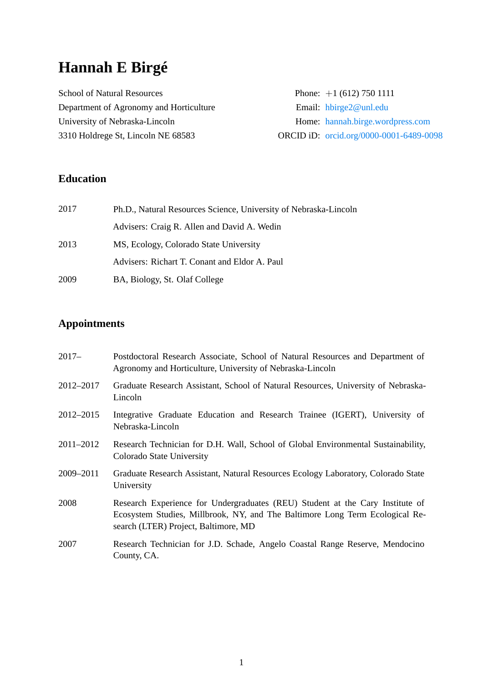# **Hannah E Birgé**

| <b>School of Natural Resources</b>      | Phone: $+1$ (612) 750 1111               |  |
|-----------------------------------------|------------------------------------------|--|
| Department of Agronomy and Horticulture | Email: $h \text{birge} 2 \omega$ unl.edu |  |
| University of Nebraska-Lincoln          | Home: hannah.birge.wordpress.com         |  |
| 3310 Holdrege St, Lincoln NE 68583      | ORCID iD: orcid.org/0000-0001-6489-0098  |  |

# **Education**

| 2017 | Ph.D., Natural Resources Science, University of Nebraska-Lincoln |
|------|------------------------------------------------------------------|
|      | Advisers: Craig R. Allen and David A. Wedin                      |
| 2013 | MS, Ecology, Colorado State University                           |
|      | Advisers: Richart T. Conant and Eldor A. Paul                    |
| 2009 | BA, Biology, St. Olaf College                                    |

# **Appointments**

| $2017 -$  | Postdoctoral Research Associate, School of Natural Resources and Department of<br>Agronomy and Horticulture, University of Nebraska-Lincoln                                                           |
|-----------|-------------------------------------------------------------------------------------------------------------------------------------------------------------------------------------------------------|
| 2012–2017 | Graduate Research Assistant, School of Natural Resources, University of Nebraska-<br>Lincoln                                                                                                          |
| 2012-2015 | Integrative Graduate Education and Research Trainee (IGERT), University of<br>Nebraska-Lincoln                                                                                                        |
| 2011–2012 | Research Technician for D.H. Wall, School of Global Environmental Sustainability,<br>Colorado State University                                                                                        |
| 2009-2011 | Graduate Research Assistant, Natural Resources Ecology Laboratory, Colorado State<br>University                                                                                                       |
| 2008      | Research Experience for Undergraduates (REU) Student at the Cary Institute of<br>Ecosystem Studies, Millbrook, NY, and The Baltimore Long Term Ecological Re-<br>search (LTER) Project, Baltimore, MD |
| 2007      | Research Technician for J.D. Schade, Angelo Coastal Range Reserve, Mendocino<br>County, CA.                                                                                                           |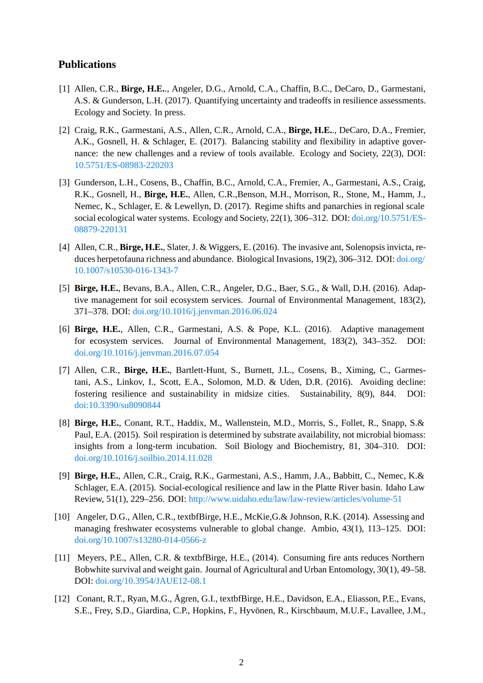## **Publications**

- [1] Allen, C.R., **Birge, H.E.**., Angeler, D.G., Arnold, C.A., Chaffin, B.C., DeCaro, D., Garmestani, A.S. & Gunderson, L.H. (2017). Quantifying uncertainty and tradeoffs in resilience assessments. Ecology and Society. In press.
- [2] Craig, R.K., Garmestani, A.S., Allen, C.R., Arnold, C.A., **Birge, H.E.**., DeCaro, D.A., Fremier, A.K., Gosnell, H. & Schlager, E. (2017). Balancing stability and flexibility in adaptive governance: the new challenges and a review of tools available. Ecology and Society, 22(3), DOI: 10.5751/ES-08983-220203
- [3] Gunderson, L.H., Cosens, B., Chaffin, B.C., Arnold, C.A., Fremier, A., Garmestani, A.S., Craig, R.K., Gosnell, H., **Birge, H.E.**, Allen, C.R.,Benson, M.H., Morrison, R., Stone, M., Hamm, J., [Nemec, K., Schlager, E. &](https://doi.org/10.5751/ES-08983-220203) Lewellyn, D. (2017). Regime shifts and panarchies in regional scale social ecological water systems. Ecology and Society, 22(1), 306–312. DOI: doi.org/10.5751/ES-08879-220131
- [4] Allen, C.R., **Birge, H.E.**, Slater, J. & Wiggers, E. (2016). The invasive ant, Solenopsis invicta, reduces herpetofauna richness and abundance. Biological Invasions, 19(2), 306-312. DOI: doi.org/ [10.1007/s1053](https://doi.org/10.5751/ES-08879-220131)0-016-1343-7
- [5] **Birge, H.E.**, Bevans, B.A., Allen, C.R., Angeler, D.G., Baer, S.G., & Wall, D.H. (2016). Adaptive management for soil ecosystem services. Journal of Environmental Management, [183\(2\),](https://doi.org/10.1007/s10530-016-1343-7) [371–378. DOI:](https://doi.org/10.1007/s10530-016-1343-7) doi.org/10.1016/j.jenvman.2016.06.024
- [6] **Birge, H.E.**, Allen, C.R., Garmestani, A.S. & Pope, K.L. (2016). Adaptive management for ecosystem services. Journal of Environmental Management, 183(2), 343–352. DOI: doi.org/10.1016[/j.jenvman.2016.07.054](https://doi.org/10.1016/j.jenvman.2016.06.024)
- [7] Allen, C.R., **Birge, H.E.**, Bartlett-Hunt, S., Burnett, J.L., Cosens, B., Ximing, C., Garmestani, A.S., Linkov, I., Scott, E.A., Solomon, M.D. & Uden, D.R. (2016). Avoiding decline: [fostering resilience and sustainability](https://doi.org/10.1016/j.jenvman.2016.07.054) in midsize cities. Sustainability, 8(9), 844. DOI: doi:10.3390/su8090844
- [8] **Birge, H.E.**, Conant, R.T., Haddix, M., Wallenstein, M.D., Morris, S., Follet, R., Snapp, S.& Paul, E.A. (2015). Soil respiration is determined by substrate availability, not microbial biomass: [insights from a long-te](https://doi.org/10.1016/j.jenvman.2016.07.054)rm incubation. Soil Biology and Biochemistry, 81, 304–310. DOI: doi.org/10.1016/j.soilbio.2014.11.028
- [9] **Birge, H.E.**, Allen, C.R., Craig, R.K., Garmestani, A.S., Hamm, J.A., Babbitt, C., Nemec, K.& Schlager, E.A. (2015). Social-ecological resilience and law in the Platte River basin. Idaho Law [Review, 51\(1\), 229–256. DOI:](https://doi.org/10.1016/j.soilbio.2014.11.028) http://www.uidaho.edu/law/law-review/articles/volume-51
- [10] Angeler, D.G., Allen, C.R., textbfBirge, H.E., McKie,G.& Johnson, R.K. (2014). Assessing and managing freshwater ecosystems vulnerable to global change. Ambio, 43(1), 113–125. DOI: doi.org/10.1007/s13280-014-0[566-z](https://http://www.uidaho.edu/law/law-review/articles/volume-51)
- [11] Meyers, P.E., Allen, C.R. & textbfBirge, H.E., (2014). Consuming fire ants reduces Northern Bobwhite survival and weight gain. Journal of Agricultural and Urban Entomology, 30(1), 49–58. DOI: [doi.org/10.3954/JAUE12-08.1](https://doi.org/10.1007/s13280-014-0566-z)
- [12] Conant, R.T., Ryan, M.G., Ågren, G.I., textbfBirge, H.E., Davidson, E.A., Eliasson, P.E., Evans, S.E., Frey, S.D., Giardina, C.P., Hopkins, F., Hyvönen, R., Kirschbaum, M.U.F., Lavallee, J.M.,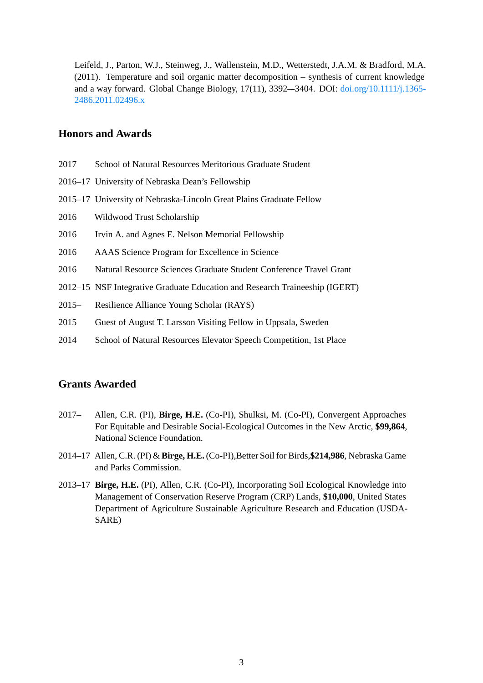Leifeld, J., Parton, W.J., Steinweg, J., Wallenstein, M.D., Wetterstedt, J.A.M. & Bradford, M.A. (2011). Temperature and soil organic matter decomposition – synthesis of current knowledge and a way forward. Global Change Biology, 17(11), 3392–-3404. DOI: doi.org/10.1111/j.1365- 2486.2011.02496.x

#### **Ho[nors and Award](https://doi.org/10.1111/j.1365-2486.2011.02496.x)s**

- 2017 School of Natural Resources Meritorious Graduate Student
- 2016–17 University of Nebraska Dean's Fellowship
- 2015–17 University of Nebraska-Lincoln Great Plains Graduate Fellow
- 2016 Wildwood Trust Scholarship
- 2016 Irvin A. and Agnes E. Nelson Memorial Fellowship
- 2016 AAAS Science Program for Excellence in Science
- 2016 Natural Resource Sciences Graduate Student Conference Travel Grant
- 2012–15 NSF Integrative Graduate Education and Research Traineeship (IGERT)
- 2015– Resilience Alliance Young Scholar (RAYS)
- 2015 Guest of August T. Larsson Visiting Fellow in Uppsala, Sweden
- 2014 School of Natural Resources Elevator Speech Competition, 1st Place

## **Grants Awarded**

- 2017– Allen, C.R. (PI), **Birge, H.E.** (Co-PI), Shulksi, M. (Co-PI), Convergent Approaches For Equitable and Desirable Social-Ecological Outcomes in the New Arctic, **\$99,864**, National Science Foundation.
- 2014–17 Allen, C.R. (PI) & **Birge, H.E.** (Co-PI),Better Soil for Birds,**\$214,986**, Nebraska Game and Parks Commission.
- 2013–17 **Birge, H.E.** (PI), Allen, C.R. (Co-PI), Incorporating Soil Ecological Knowledge into Management of Conservation Reserve Program (CRP) Lands, **\$10,000**, United States Department of Agriculture Sustainable Agriculture Research and Education (USDA-SARE)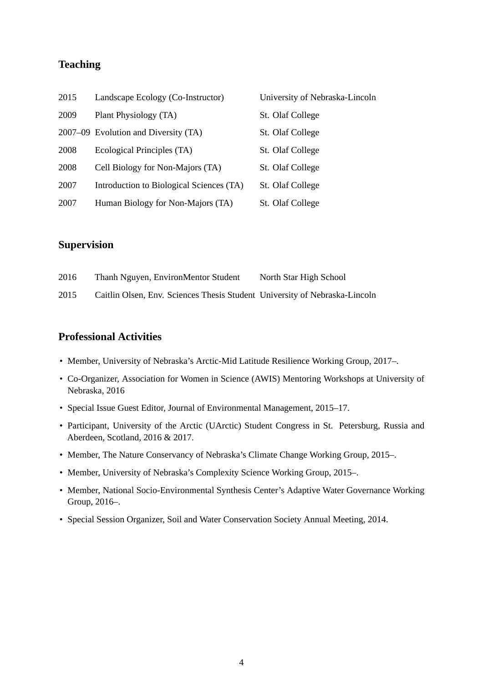# **Teaching**

| 2015 | Landscape Ecology (Co-Instructor)        | University of Nebraska-Lincoln |
|------|------------------------------------------|--------------------------------|
| 2009 | Plant Physiology (TA)                    | St. Olaf College               |
|      | 2007–09 Evolution and Diversity (TA)     | St. Olaf College               |
| 2008 | Ecological Principles (TA)               | St. Olaf College               |
| 2008 | Cell Biology for Non-Majors (TA)         | St. Olaf College               |
| 2007 | Introduction to Biological Sciences (TA) | St. Olaf College               |
| 2007 | Human Biology for Non-Majors (TA)        | St. Olaf College               |

#### **Supervision**

| 2016 | Thanh Nguyen, EnvironMentor Student                                        | North Star High School |
|------|----------------------------------------------------------------------------|------------------------|
| 2015 | Caitlin Olsen, Env. Sciences Thesis Student University of Nebraska-Lincoln |                        |

#### **Professional Activities**

- Member, University of Nebraska's Arctic-Mid Latitude Resilience Working Group, 2017–.
- Co-Organizer, Association for Women in Science (AWIS) Mentoring Workshops at University of Nebraska, 2016
- Special Issue Guest Editor, Journal of Environmental Management, 2015–17.
- Participant, University of the Arctic (UArctic) Student Congress in St. Petersburg, Russia and Aberdeen, Scotland, 2016 & 2017.
- Member, The Nature Conservancy of Nebraska's Climate Change Working Group, 2015–.
- Member, University of Nebraska's Complexity Science Working Group, 2015–.
- Member, National Socio-Environmental Synthesis Center's Adaptive Water Governance Working Group, 2016–.
- Special Session Organizer, Soil and Water Conservation Society Annual Meeting, 2014.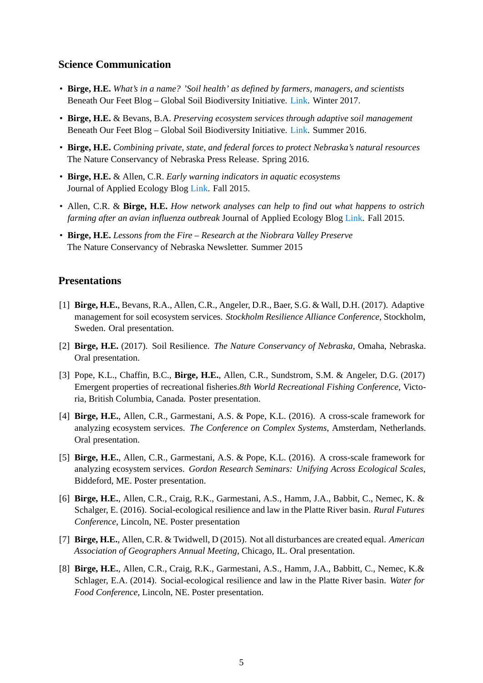## **Science Communication**

- **Birge, H.E.** *What's in a name? 'Soil health' as defined by farmers, managers, and scientists* Beneath Our Feet Blog – Global Soil Biodiversity Initiative. Link. Winter 2017.
- **Birge, H.E.** & Bevans, B.A. *Preserving ecosystem services through adaptive soil management* Beneath Our Feet Blog – Global Soil Biodiversity Initiative. Link. Summer 2016.
- **Birge, H.E.** *Combining private, state, and federal forces to p[rotec](http://blog.globalsoilbiodiversity.org/article/2017/02/08/what%E2%80%99s-name-%E2%80%9Csoil-health%E2%80%9D-defined-farmers-managers-and-scientists)t Nebraska's natural resources* The Nature Conservancy of Nebraska Press Release. Spring 2016.
- **Birge, H.E.** & Allen, C.R. *Early warning indicators in aqua[tic ec](http://blog.globalsoilbiodiversity.org/article/2016/08/04/preserving-ecosystem-services-through-adaptive-soil-management)osystems* Journal of Applied Ecology Blog Link. Fall 2015.
- Allen, C.R. & **Birge, H.E.** *How network analyses can help to find out what happens to ostrich farming after an avian influenza outbreak* Journal of Applied Ecology Blog Link. Fall 2015.
- **Birge, H.E.** *Lessons from the Fir[e Re](https://jappliedecologyblog.wordpress.com/2015/10/30/early-warning-indicators-in-aquatic-ecosystems/)search at the Niobrara Valley Preserve* The Nature Conservancy of Nebraska Newsletter. Summer 2015

#### **Presentations**

- [1] **Birge, H.E.**, Bevans, R.A., Allen, C.R., Angeler, D.R., Baer, S.G. & Wall, D.H. (2017). Adaptive management for soil ecosystem services. *Stockholm Resilience Alliance Conference*, Stockholm, Sweden. Oral presentation.
- [2] **Birge, H.E.** (2017). Soil Resilience. *The Nature Conservancy of Nebraska*, Omaha, Nebraska. Oral presentation.
- [3] Pope, K.L., Chaffin, B.C., **Birge, H.E.**, Allen, C.R., Sundstrom, S.M. & Angeler, D.G. (2017) Emergent properties of recreational fisheries.*8th World Recreational Fishing Conference*, Victoria, British Columbia, Canada. Poster presentation.
- [4] **Birge, H.E.**, Allen, C.R., Garmestani, A.S. & Pope, K.L. (2016). A cross-scale framework for analyzing ecosystem services. *The Conference on Complex Systems*, Amsterdam, Netherlands. Oral presentation.
- [5] **Birge, H.E.**, Allen, C.R., Garmestani, A.S. & Pope, K.L. (2016). A cross-scale framework for analyzing ecosystem services. *Gordon Research Seminars: Unifying Across Ecological Scales*, Biddeford, ME. Poster presentation.
- [6] **Birge, H.E.**, Allen, C.R., Craig, R.K., Garmestani, A.S., Hamm, J.A., Babbit, C., Nemec, K. & Schalger, E. (2016). Social-ecological resilience and law in the Platte River basin. *Rural Futures Conference*, Lincoln, NE. Poster presentation
- [7] **Birge, H.E.**, Allen, C.R. & Twidwell, D (2015). Not all disturbances are created equal. *American Association of Geographers Annual Meeting*, Chicago, IL. Oral presentation.
- [8] **Birge, H.E.**, Allen, C.R., Craig, R.K., Garmestani, A.S., Hamm, J.A., Babbitt, C., Nemec, K.& Schlager, E.A. (2014). Social-ecological resilience and law in the Platte River basin. *Water for Food Conference*, Lincoln, NE. Poster presentation.